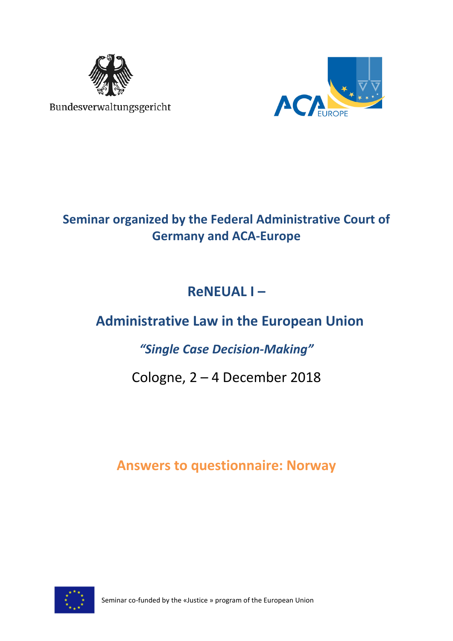

Bundesverwaltungsgericht



## **Seminar organized by the Federal Administrative Court of Germany and ACA-Europe**

# **ReNEUAL I –**

# **Administrative Law in the European Union**

## *"Single Case Decision-Making"*

## Cologne, 2 – 4 December 2018

## **Answers to questionnaire: Norway**



Seminar co-funded by the «Justice » program of the European Union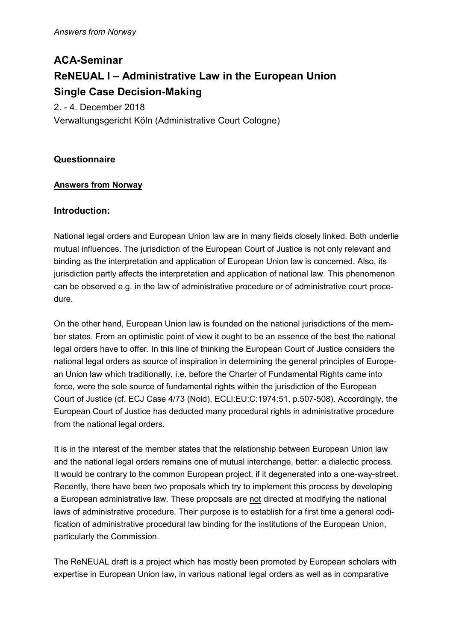## **ACA-Seminar ReNEUAL I – Administrative Law in the European Union Single Case Decision-Making**

2. - 4. December 2018 Verwaltungsgericht Köln (Administrative Court Cologne)

## **Questionnaire**

## **Answers from Norway**

## **Introduction:**

National legal orders and European Union law are in many fields closely linked. Both underlie mutual influences. The jurisdiction of the European Court of Justice is not only relevant and binding as the interpretation and application of European Union law is concerned. Also, its jurisdiction partly affects the interpretation and application of national law. This phenomenon can be observed e.g. in the law of administrative procedure or of administrative court procedure.

On the other hand, European Union law is founded on the national jurisdictions of the member states. From an optimistic point of view it ought to be an essence of the best the national legal orders have to offer. In this line of thinking the European Court of Justice considers the national legal orders as source of inspiration in determining the general principles of European Union law which traditionally, i.e. before the Charter of Fundamental Rights came into force, were the sole source of fundamental rights within the jurisdiction of the European Court of Justice (cf. ECJ Case 4/73 (Nold), ECLI:EU:C:1974:51, p.507-508). Accordingly, the European Court of Justice has deducted many procedural rights in administrative procedure from the national legal orders.

It is in the interest of the member states that the relationship between European Union law and the national legal orders remains one of mutual interchange, better: a dialectic process. It would be contrary to the common European project, if it degenerated into a one-way-street. Recently, there have been two proposals which try to implement this process by developing a European administrative law. These proposals are not directed at modifying the national laws of administrative procedure. Their purpose is to establish for a first time a general codification of administrative procedural law binding for the institutions of the European Union, particularly the Commission.

The ReNEUAL draft is a project which has mostly been promoted by European scholars with expertise in European Union law, in various national legal orders as well as in comparative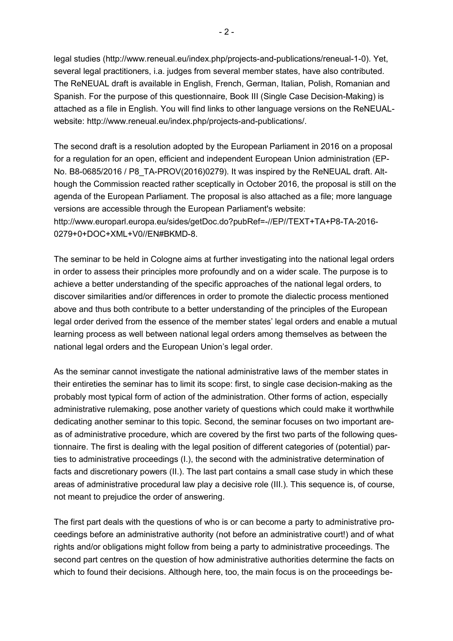legal studies (http://www.reneual.eu/index.php/projects-and-publications/reneual-1-0). Yet, several legal practitioners, i.a. judges from several member states, have also contributed. The ReNEUAL draft is available in English, French, German, Italian, Polish, Romanian and Spanish. For the purpose of this questionnaire, Book III (Single Case Decision-Making) is attached as a file in English. You will find links to other language versions on the ReNEUALwebsite: http://www.reneual.eu/index.php/projects-and-publications/.

The second draft is a resolution adopted by the European Parliament in 2016 on a proposal for a regulation for an open, efficient and independent European Union administration (EP-No. B8-0685/2016 / P8\_TA-PROV(2016)0279). It was inspired by the ReNEUAL draft. Although the Commission reacted rather sceptically in October 2016, the proposal is still on the agenda of the European Parliament. The proposal is also attached as a file; more language versions are accessible through the European Parliament's website: http://www.europarl.europa.eu/sides/getDoc.do?pubRef=-//EP//TEXT+TA+P8-TA-2016- 0279+0+DOC+XML+V0//EN#BKMD-8.

The seminar to be held in Cologne aims at further investigating into the national legal orders in order to assess their principles more profoundly and on a wider scale. The purpose is to achieve a better understanding of the specific approaches of the national legal orders, to discover similarities and/or differences in order to promote the dialectic process mentioned above and thus both contribute to a better understanding of the principles of the European legal order derived from the essence of the member states' legal orders and enable a mutual learning process as well between national legal orders among themselves as between the national legal orders and the European Union's legal order.

As the seminar cannot investigate the national administrative laws of the member states in their entireties the seminar has to limit its scope: first, to single case decision-making as the probably most typical form of action of the administration. Other forms of action, especially administrative rulemaking, pose another variety of questions which could make it worthwhile dedicating another seminar to this topic. Second, the seminar focuses on two important areas of administrative procedure, which are covered by the first two parts of the following questionnaire. The first is dealing with the legal position of different categories of (potential) parties to administrative proceedings (I.), the second with the administrative determination of facts and discretionary powers (II.). The last part contains a small case study in which these areas of administrative procedural law play a decisive role (III.). This sequence is, of course, not meant to prejudice the order of answering.

The first part deals with the questions of who is or can become a party to administrative proceedings before an administrative authority (not before an administrative court!) and of what rights and/or obligations might follow from being a party to administrative proceedings. The second part centres on the question of how administrative authorities determine the facts on which to found their decisions. Although here, too, the main focus is on the proceedings be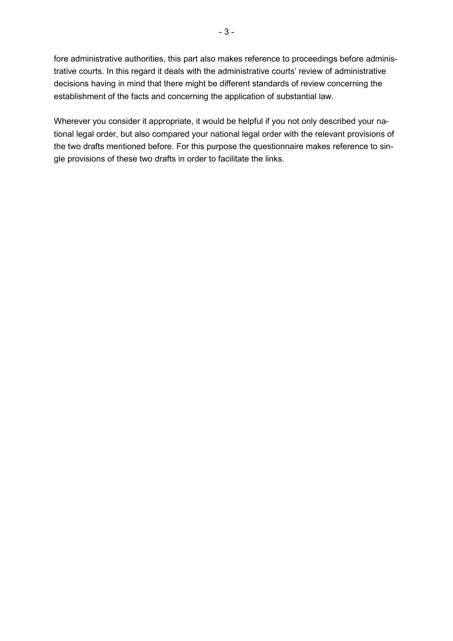fore administrative authorities, this part also makes reference to proceedings before administrative courts. In this regard it deals with the administrative courts' review of administrative decisions having in mind that there might be different standards of review concerning the establishment of the facts and concerning the application of substantial law.

Wherever you consider it appropriate, it would be helpful if you not only described your national legal order, but also compared your national legal order with the relevant provisions of the two drafts mentioned before. For this purpose the questionnaire makes reference to single provisions of these two drafts in order to facilitate the links.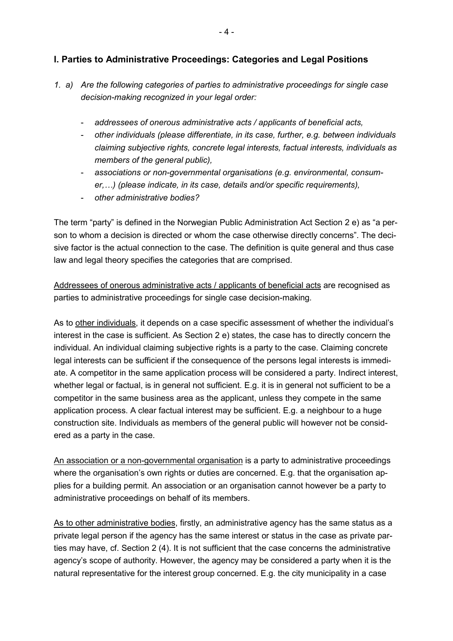### **I. Parties to Administrative Proceedings: Categories and Legal Positions**

- *1. a) Are the following categories of parties to administrative proceedings for single case decision-making recognized in your legal order:* 
	- *addressees of onerous administrative acts / applicants of beneficial acts,*
	- *other individuals (please differentiate, in its case, further, e.g. between individuals claiming subjective rights, concrete legal interests, factual interests, individuals as members of the general public),*
	- *associations or non-governmental organisations (e.g. environmental, consumer,\$) (please indicate, in its case, details and/or specific requirements),*
	- *other administrative bodies?*

The term "party" is defined in the Norwegian Public Administration Act Section 2 e) as "a person to whom a decision is directed or whom the case otherwise directly concerns". The decisive factor is the actual connection to the case. The definition is quite general and thus case law and legal theory specifies the categories that are comprised.

Addressees of onerous administrative acts / applicants of beneficial acts are recognised as parties to administrative proceedings for single case decision-making*.*

As to other individuals, it depends on a case specific assessment of whether the individual's interest in the case is sufficient. As Section 2 e) states, the case has to directly concern the individual. An individual claiming subjective rights is a party to the case. Claiming concrete legal interests can be sufficient if the consequence of the persons legal interests is immediate. A competitor in the same application process will be considered a party. Indirect interest, whether legal or factual, is in general not sufficient. E.g. it is in general not sufficient to be a competitor in the same business area as the applicant, unless they compete in the same application process. A clear factual interest may be sufficient. E.g. a neighbour to a huge construction site. Individuals as members of the general public will however not be considered as a party in the case.

An association or a non-governmental organisation is a party to administrative proceedings where the organisation's own rights or duties are concerned. E.g. that the organisation applies for a building permit. An association or an organisation cannot however be a party to administrative proceedings on behalf of its members.

As to other administrative bodies, firstly, an administrative agency has the same status as a private legal person if the agency has the same interest or status in the case as private parties may have, cf. Section 2 (4). It is not sufficient that the case concerns the administrative agency's scope of authority. However, the agency may be considered a party when it is the natural representative for the interest group concerned. E.g. the city municipality in a case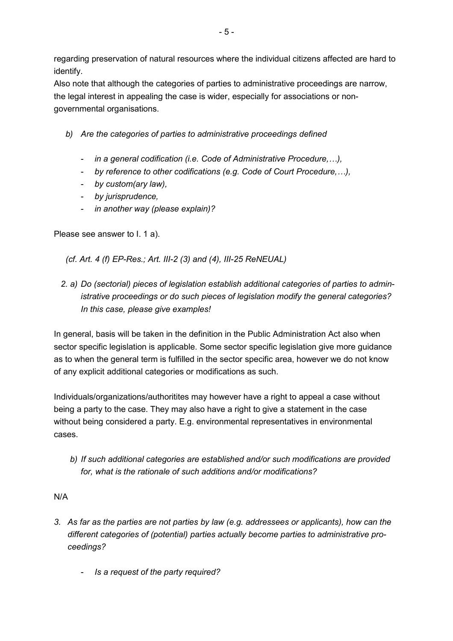regarding preservation of natural resources where the individual citizens affected are hard to identify.

Also note that although the categories of parties to administrative proceedings are narrow, the legal interest in appealing the case is wider, especially for associations or nongovernmental organisations.

- *b) Are the categories of parties to administrative proceedings defined* 
	- *in a general codification (i.e. Code of Administrative Procedure, ...),*
	- *by reference to other codifications (e.g. Code of Court Procedure,...),*
	- *by custom(ary law),*
	- *by jurisprudence,*
	- *in another way (please explain)?*

Please see answer to I. 1 a).

 *(cf. Art. 4 (f) EP-Res.; Art. III-2 (3) and (4), III-25 ReNEUAL)* 

*2. a) Do (sectorial) pieces of legislation establish additional categories of parties to administrative proceedings or do such pieces of legislation modify the general categories? In this case, please give examples!* 

In general, basis will be taken in the definition in the Public Administration Act also when sector specific legislation is applicable. Some sector specific legislation give more guidance as to when the general term is fulfilled in the sector specific area, however we do not know of any explicit additional categories or modifications as such.

Individuals/organizations/authoritites may however have a right to appeal a case without being a party to the case. They may also have a right to give a statement in the case without being considered a party. E.g. environmental representatives in environmental cases.

 *b) If such additional categories are established and/or such modifications are provided for, what is the rationale of such additions and/or modifications?* 

## N/A

- *3. As far as the parties are not parties by law (e.g. addressees or applicants), how can the different categories of (potential) parties actually become parties to administrative proceedings?* 
	- *Is a request of the party required?*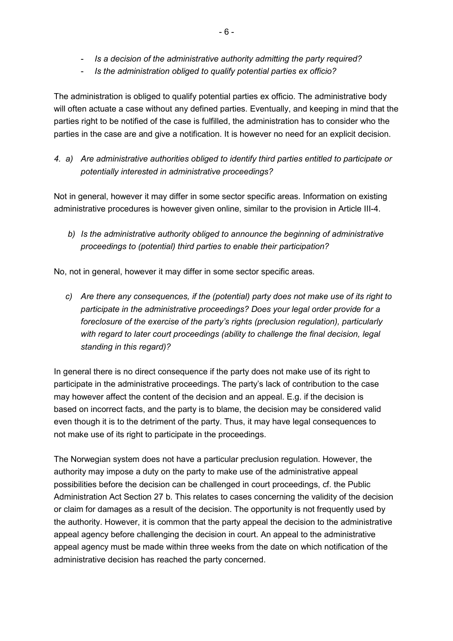- *Is a decision of the administrative authority admitting the party required?*
- *Is the administration obliged to qualify potential parties ex officio?*

The administration is obliged to qualify potential parties ex officio. The administrative body will often actuate a case without any defined parties. Eventually, and keeping in mind that the parties right to be notified of the case is fulfilled, the administration has to consider who the parties in the case are and give a notification. It is however no need for an explicit decision.

*4. a) Are administrative authorities obliged to identify third parties entitled to participate or potentially interested in administrative proceedings?* 

Not in general, however it may differ in some sector specific areas. Information on existing administrative procedures is however given online, similar to the provision in Article III-4.

 *b) Is the administrative authority obliged to announce the beginning of administrative proceedings to (potential) third parties to enable their participation?* 

No, not in general, however it may differ in some sector specific areas.

*c) Are there any consequences, if the (potential) party does not make use of its right to participate in the administrative proceedings? Does your legal order provide for a foreclosure of the exercise of the party's rights (preclusion regulation), particularly with regard to later court proceedings (ability to challenge the final decision, legal standing in this regard)?* 

In general there is no direct consequence if the party does not make use of its right to participate in the administrative proceedings. The party's lack of contribution to the case may however affect the content of the decision and an appeal. E.g. if the decision is based on incorrect facts, and the party is to blame, the decision may be considered valid even though it is to the detriment of the party. Thus, it may have legal consequences to not make use of its right to participate in the proceedings.

The Norwegian system does not have a particular preclusion regulation. However, the authority may impose a duty on the party to make use of the administrative appeal possibilities before the decision can be challenged in court proceedings, cf. the Public Administration Act Section 27 b. This relates to cases concerning the validity of the decision or claim for damages as a result of the decision. The opportunity is not frequently used by the authority. However, it is common that the party appeal the decision to the administrative appeal agency before challenging the decision in court. An appeal to the administrative appeal agency must be made within three weeks from the date on which notification of the administrative decision has reached the party concerned.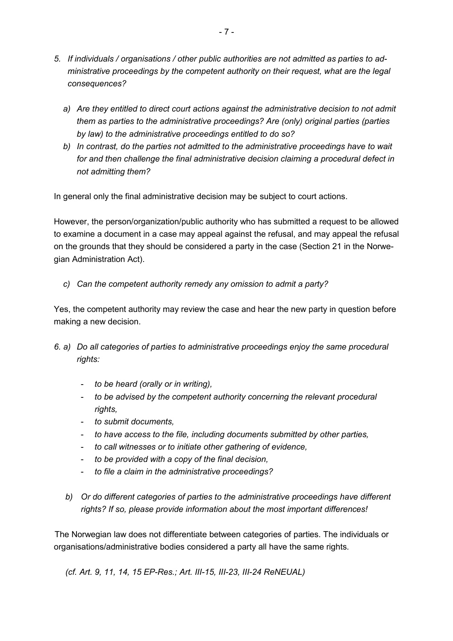- *5. If individuals / organisations / other public authorities are not admitted as parties to administrative proceedings by the competent authority on their request, what are the legal consequences?* 
	- *a) Are they entitled to direct court actions against the administrative decision to not admit them as parties to the administrative proceedings? Are (only) original parties (parties by law) to the administrative proceedings entitled to do so?*
	- *b) In contrast, do the parties not admitted to the administrative proceedings have to wait for and then challenge the final administrative decision claiming a procedural defect in not admitting them?*

In general only the final administrative decision may be subject to court actions.

However, the person/organization/public authority who has submitted a request to be allowed to examine a document in a case may appeal against the refusal, and may appeal the refusal on the grounds that they should be considered a party in the case (Section 21 in the Norwegian Administration Act).

*c) Can the competent authority remedy any omission to admit a party?* 

Yes, the competent authority may review the case and hear the new party in question before making a new decision.

- *6. a) Do all categories of parties to administrative proceedings enjoy the same procedural rights:* 
	- *to be heard (orally or in writing),*
	- *to be advised by the competent authority concerning the relevant procedural rights,*
	- *to submit documents,*
	- *to have access to the file, including documents submitted by other parties,*
	- *to call witnesses or to initiate other gathering of evidence,*
	- *to be provided with a copy of the final decision,*
	- *to file a claim in the administrative proceedings?*
	- *b) Or do different categories of parties to the administrative proceedings have different rights? If so, please provide information about the most important differences!*

 The Norwegian law does not differentiate between categories of parties. The individuals or organisations/administrative bodies considered a party all have the same rights.

*(cf. Art. 9, 11, 14, 15 EP-Res.; Art. III-15, III-23, III-24 ReNEUAL)*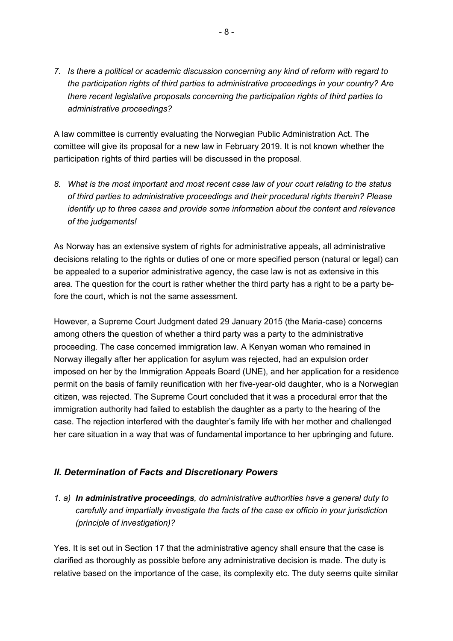*7. Is there a political or academic discussion concerning any kind of reform with regard to the participation rights of third parties to administrative proceedings in your country? Are there recent legislative proposals concerning the participation rights of third parties to administrative proceedings?* 

A law committee is currently evaluating the Norwegian Public Administration Act. The comittee will give its proposal for a new law in February 2019. It is not known whether the participation rights of third parties will be discussed in the proposal.

*8. What is the most important and most recent case law of your court relating to the status of third parties to administrative proceedings and their procedural rights therein? Please identify up to three cases and provide some information about the content and relevance of the judgements!* 

As Norway has an extensive system of rights for administrative appeals, all administrative decisions relating to the rights or duties of one or more specified person (natural or legal) can be appealed to a superior administrative agency, the case law is not as extensive in this area. The question for the court is rather whether the third party has a right to be a party before the court, which is not the same assessment.

However, a Supreme Court Judgment dated 29 January 2015 (the Maria-case) concerns among others the question of whether a third party was a party to the administrative proceeding. The case concerned immigration law. A Kenyan woman who remained in Norway illegally after her application for asylum was rejected, had an expulsion order imposed on her by the Immigration Appeals Board (UNE), and her application for a residence permit on the basis of family reunification with her five-year-old daughter, who is a Norwegian citizen, was rejected. The Supreme Court concluded that it was a procedural error that the immigration authority had failed to establish the daughter as a party to the hearing of the case. The rejection interfered with the daughter's family life with her mother and challenged her care situation in a way that was of fundamental importance to her upbringing and future.

## *II. Determination of Facts and Discretionary Powers*

*1. a) In administrative proceedings, do administrative authorities have a general duty to carefully and impartially investigate the facts of the case ex officio in your jurisdiction (principle of investigation)?* 

Yes. It is set out in Section 17 that the administrative agency shall ensure that the case is clarified as thoroughly as possible before any administrative decision is made. The duty is relative based on the importance of the case, its complexity etc. The duty seems quite similar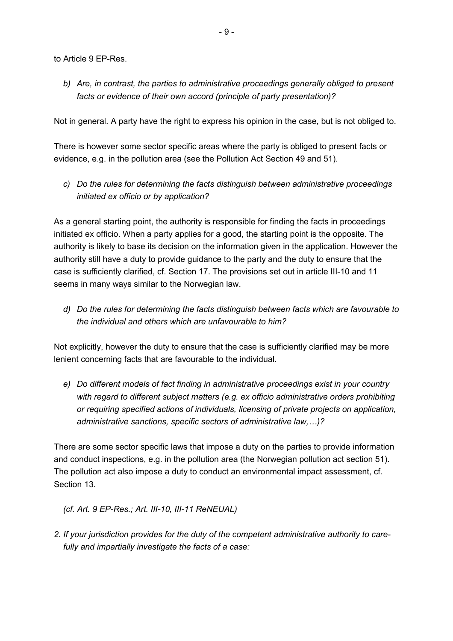to Article 9 EP-Res.

*b) Are, in contrast, the parties to administrative proceedings generally obliged to present facts or evidence of their own accord (principle of party presentation)?* 

Not in general. A party have the right to express his opinion in the case, but is not obliged to.

There is however some sector specific areas where the party is obliged to present facts or evidence, e.g. in the pollution area (see the Pollution Act Section 49 and 51).

*c) Do the rules for determining the facts distinguish between administrative proceedings initiated ex officio or by application?* 

As a general starting point, the authority is responsible for finding the facts in proceedings initiated ex officio. When a party applies for a good, the starting point is the opposite. The authority is likely to base its decision on the information given in the application. However the authority still have a duty to provide guidance to the party and the duty to ensure that the case is sufficiently clarified, cf. Section 17. The provisions set out in article III-10 and 11 seems in many ways similar to the Norwegian law.

*d) Do the rules for determining the facts distinguish between facts which are favourable to the individual and others which are unfavourable to him?* 

Not explicitly, however the duty to ensure that the case is sufficiently clarified may be more lenient concerning facts that are favourable to the individual.

*e) Do different models of fact finding in administrative proceedings exist in your country with regard to different subject matters (e.g. ex officio administrative orders prohibiting or requiring specified actions of individuals, licensing of private projects on application, administrative sanctions, specific sectors of administrative law,\$)?* 

There are some sector specific laws that impose a duty on the parties to provide information and conduct inspections, e.g. in the pollution area (the Norwegian pollution act section 51). The pollution act also impose a duty to conduct an environmental impact assessment, cf. Section 13.

*(cf. Art. 9 EP-Res.; Art. III-10, III-11 ReNEUAL)* 

*2. If your jurisdiction provides for the duty of the competent administrative authority to care fully and impartially investigate the facts of a case:*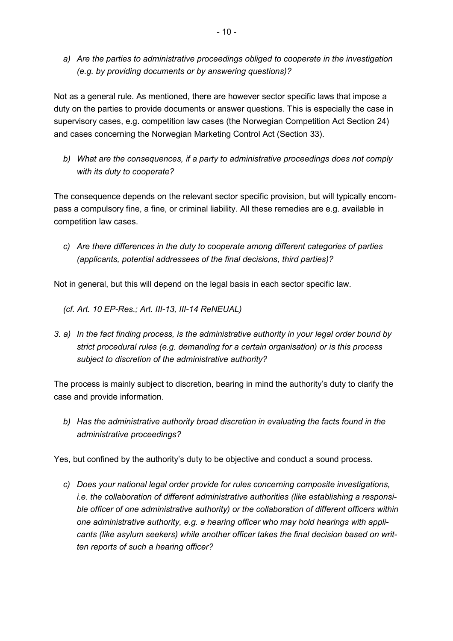*a) Are the parties to administrative proceedings obliged to cooperate in the investigation (e.g. by providing documents or by answering questions)?* 

Not as a general rule. As mentioned, there are however sector specific laws that impose a duty on the parties to provide documents or answer questions. This is especially the case in supervisory cases, e.g. competition law cases (the Norwegian Competition Act Section 24) and cases concerning the Norwegian Marketing Control Act (Section 33).

*b) What are the consequences, if a party to administrative proceedings does not comply with its duty to cooperate?* 

The consequence depends on the relevant sector specific provision, but will typically encompass a compulsory fine, a fine, or criminal liability. All these remedies are e.g. available in competition law cases.

*c) Are there differences in the duty to cooperate among different categories of parties (applicants, potential addressees of the final decisions, third parties)?* 

Not in general, but this will depend on the legal basis in each sector specific law.

- *(cf. Art. 10 EP-Res.; Art. III-13, III-14 ReNEUAL)*
- *3. a) In the fact finding process, is the administrative authority in your legal order bound by strict procedural rules (e.g. demanding for a certain organisation) or is this process subject to discretion of the administrative authority?*

The process is mainly subject to discretion, bearing in mind the authority's duty to clarify the case and provide information.

*b) Has the administrative authority broad discretion in evaluating the facts found in the administrative proceedings?* 

Yes, but confined by the authority's duty to be objective and conduct a sound process.

*c) Does your national legal order provide for rules concerning composite investigations, i.e. the collaboration of different administrative authorities (like establishing a responsible officer of one administrative authority) or the collaboration of different officers within one administrative authority, e.g. a hearing officer who may hold hearings with applicants (like asylum seekers) while another officer takes the final decision based on written reports of such a hearing officer?*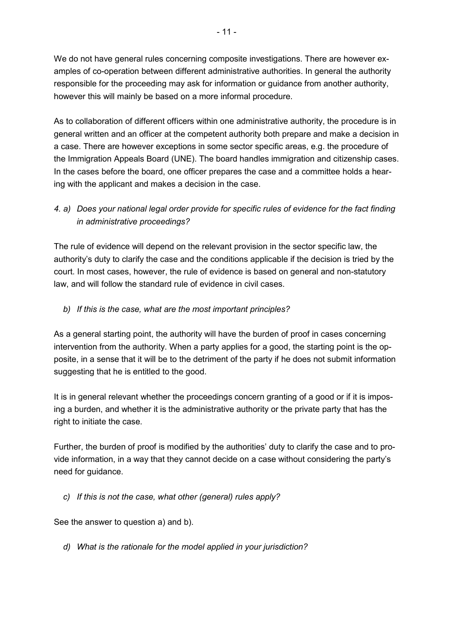We do not have general rules concerning composite investigations. There are however examples of co-operation between different administrative authorities. In general the authority responsible for the proceeding may ask for information or guidance from another authority, however this will mainly be based on a more informal procedure.

As to collaboration of different officers within one administrative authority, the procedure is in general written and an officer at the competent authority both prepare and make a decision in a case. There are however exceptions in some sector specific areas, e.g. the procedure of the Immigration Appeals Board (UNE). The board handles immigration and citizenship cases. In the cases before the board, one officer prepares the case and a committee holds a hearing with the applicant and makes a decision in the case.

## *4. a) Does your national legal order provide for specific rules of evidence for the fact finding in administrative proceedings?*

The rule of evidence will depend on the relevant provision in the sector specific law, the authority's duty to clarify the case and the conditions applicable if the decision is tried by the court. In most cases, however, the rule of evidence is based on general and non-statutory law, and will follow the standard rule of evidence in civil cases.

## *b) If this is the case, what are the most important principles?*

As a general starting point, the authority will have the burden of proof in cases concerning intervention from the authority. When a party applies for a good, the starting point is the opposite, in a sense that it will be to the detriment of the party if he does not submit information suggesting that he is entitled to the good.

It is in general relevant whether the proceedings concern granting of a good or if it is imposing a burden, and whether it is the administrative authority or the private party that has the right to initiate the case.

Further, the burden of proof is modified by the authorities' duty to clarify the case and to provide information, in a way that they cannot decide on a case without considering the party's need for guidance.

## *c) If this is not the case, what other (general) rules apply?*

See the answer to question a) and b).

*d) What is the rationale for the model applied in your jurisdiction?*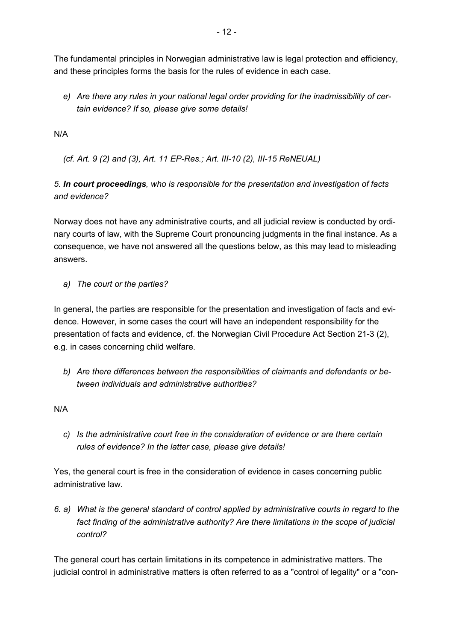The fundamental principles in Norwegian administrative law is legal protection and efficiency, and these principles forms the basis for the rules of evidence in each case.

*e) Are there any rules in your national legal order providing for the inadmissibility of certain evidence? If so, please give some details!* 

N/A

*(cf. Art. 9 (2) and (3), Art. 11 EP-Res.; Art. III-10 (2), III-15 ReNEUAL)* 

## *5. In court proceedings, who is responsible for the presentation and investigation of facts and evidence?*

Norway does not have any administrative courts, and all judicial review is conducted by ordinary courts of law, with the Supreme Court pronouncing judgments in the final instance. As a consequence, we have not answered all the questions below, as this may lead to misleading answers.

*a) The court or the parties?* 

In general, the parties are responsible for the presentation and investigation of facts and evidence. However, in some cases the court will have an independent responsibility for the presentation of facts and evidence, cf. the Norwegian Civil Procedure Act Section 21-3 (2), e.g. in cases concerning child welfare.

*b) Are there differences between the responsibilities of claimants and defendants or between individuals and administrative authorities?* 

N/A

*c) Is the administrative court free in the consideration of evidence or are there certain rules of evidence? In the latter case, please give details!* 

Yes, the general court is free in the consideration of evidence in cases concerning public administrative law.

*6. a) What is the general standard of control applied by administrative courts in regard to the fact finding of the administrative authority? Are there limitations in the scope of judicial control?* 

The general court has certain limitations in its competence in administrative matters. The judicial control in administrative matters is often referred to as a "control of legality" or a "con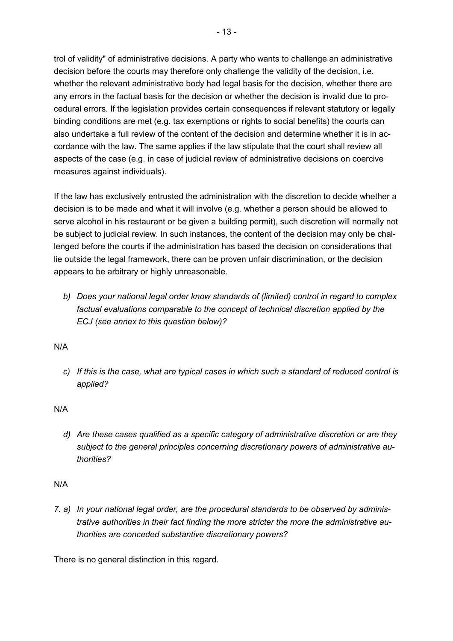trol of validity" of administrative decisions. A party who wants to challenge an administrative decision before the courts may therefore only challenge the validity of the decision, i.e. whether the relevant administrative body had legal basis for the decision, whether there are any errors in the factual basis for the decision or whether the decision is invalid due to procedural errors. If the legislation provides certain consequences if relevant statutory or legally binding conditions are met (e.g. tax exemptions or rights to social benefits) the courts can also undertake a full review of the content of the decision and determine whether it is in accordance with the law. The same applies if the law stipulate that the court shall review all aspects of the case (e.g. in case of judicial review of administrative decisions on coercive measures against individuals).

If the law has exclusively entrusted the administration with the discretion to decide whether a decision is to be made and what it will involve (e.g. whether a person should be allowed to serve alcohol in his restaurant or be given a building permit), such discretion will normally not be subject to judicial review. In such instances, the content of the decision may only be challenged before the courts if the administration has based the decision on considerations that lie outside the legal framework, there can be proven unfair discrimination, or the decision appears to be arbitrary or highly unreasonable.

*b) Does your national legal order know standards of (limited) control in regard to complex factual evaluations comparable to the concept of technical discretion applied by the ECJ (see annex to this question below)?* 

N/A

*c) If this is the case, what are typical cases in which such a standard of reduced control is applied?* 

N/A

*d) Are these cases qualified as a specific category of administrative discretion or are they subject to the general principles concerning discretionary powers of administrative authorities?* 

N/A

*7. a) In your national legal order, are the procedural standards to be observed by administrative authorities in their fact finding the more stricter the more the administrative authorities are conceded substantive discretionary powers?* 

There is no general distinction in this regard.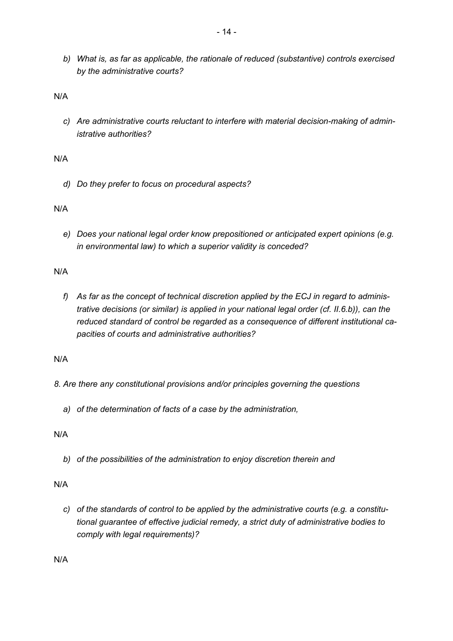*b) What is, as far as applicable, the rationale of reduced (substantive) controls exercised by the administrative courts?* 

N/A

*c) Are administrative courts reluctant to interfere with material decision-making of administrative authorities?* 

N/A

*d) Do they prefer to focus on procedural aspects?* 

N/A

*e) Does your national legal order know prepositioned or anticipated expert opinions (e.g. in environmental law) to which a superior validity is conceded?* 

N/A

*f) As far as the concept of technical discretion applied by the ECJ in regard to administrative decisions (or similar) is applied in your national legal order (cf. II.6.b)), can the reduced standard of control be regarded as a consequence of different institutional capacities of courts and administrative authorities?* 

N/A

- *8. Are there any constitutional provisions and/or principles governing the questions* 
	- *a) of the determination of facts of a case by the administration,*

N/A

*b) of the possibilities of the administration to enjoy discretion therein and* 

N/A

*c) of the standards of control to be applied by the administrative courts (e.g. a constitutional guarantee of effective judicial remedy, a strict duty of administrative bodies to comply with legal requirements)?* 

N/A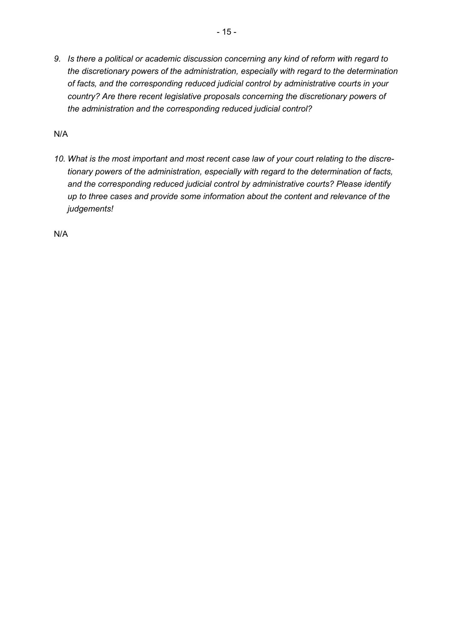*9. Is there a political or academic discussion concerning any kind of reform with regard to the discretionary powers of the administration, especially with regard to the determination of facts, and the corresponding reduced judicial control by administrative courts in your country? Are there recent legislative proposals concerning the discretionary powers of the administration and the corresponding reduced judicial control?* 

N/A

*10. What is the most important and most recent case law of your court relating to the discretionary powers of the administration, especially with regard to the determination of facts, and the corresponding reduced judicial control by administrative courts? Please identify up to three cases and provide some information about the content and relevance of the judgements!* 

N/A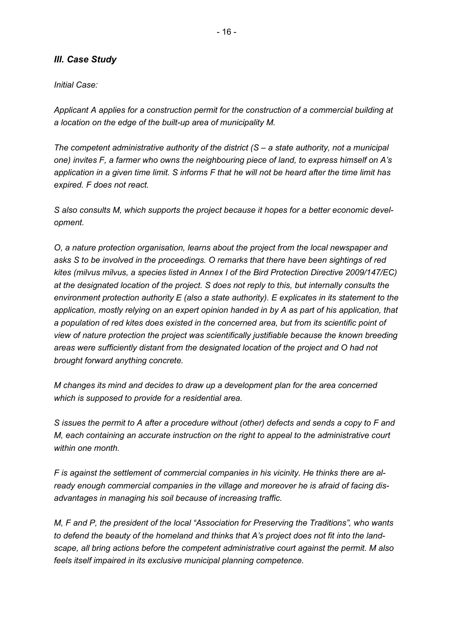### *III. Case Study*

*Initial Case:* 

*Applicant A applies for a construction permit for the construction of a commercial building at a location on the edge of the built-up area of municipality M.* 

*The competent administrative authority of the district (S – a state authority, not a municipal one) invites F, a farmer who owns the neighbouring piece of land, to express himself on A's application in a given time limit. S informs F that he will not be heard after the time limit has expired. F does not react.* 

*S also consults M, which supports the project because it hopes for a better economic development.* 

*O, a nature protection organisation, learns about the project from the local newspaper and asks S to be involved in the proceedings. O remarks that there have been sightings of red kites (milvus milvus, a species listed in Annex I of the Bird Protection Directive 2009/147/EC) at the designated location of the project. S does not reply to this, but internally consults the environment protection authority E (also a state authority). E explicates in its statement to the application, mostly relying on an expert opinion handed in by A as part of his application, that a population of red kites does existed in the concerned area, but from its scientific point of view of nature protection the project was scientifically justifiable because the known breeding areas were sufficiently distant from the designated location of the project and O had not brought forward anything concrete.* 

*M changes its mind and decides to draw up a development plan for the area concerned which is supposed to provide for a residential area.* 

*S issues the permit to A after a procedure without (other) defects and sends a copy to F and M, each containing an accurate instruction on the right to appeal to the administrative court within one month.* 

*F is against the settlement of commercial companies in his vicinity. He thinks there are already enough commercial companies in the village and moreover he is afraid of facing disadvantages in managing his soil because of increasing traffic.* 

*M, F and P, the president of the local "Association for Preserving the Traditions", who wants to defend the beauty of the homeland and thinks that A's project does not fit into the landscape, all bring actions before the competent administrative court against the permit. M also feels itself impaired in its exclusive municipal planning competence.*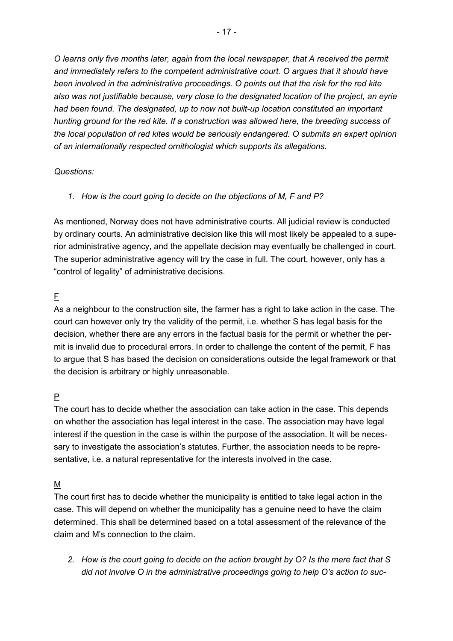*O learns only five months later, again from the local newspaper, that A received the permit and immediately refers to the competent administrative court. O argues that it should have been involved in the administrative proceedings. O points out that the risk for the red kite also was not justifiable because, very close to the designated location of the project, an eyrie had been found. The designated, up to now not built-up location constituted an important hunting ground for the red kite. If a construction was allowed here, the breeding success of the local population of red kites would be seriously endangered. O submits an expert opinion of an internationally respected ornithologist which supports its allegations.* 

#### *Questions:*

#### *1. How is the court going to decide on the objections of M, F and P?*

As mentioned, Norway does not have administrative courts. All judicial review is conducted by ordinary courts. An administrative decision like this will most likely be appealed to a superior administrative agency, and the appellate decision may eventually be challenged in court. The superior administrative agency will try the case in full. The court, however, only has a "control of legality" of administrative decisions.

## F

As a neighbour to the construction site, the farmer has a right to take action in the case. The court can however only try the validity of the permit, i.e. whether S has legal basis for the decision, whether there are any errors in the factual basis for the permit or whether the permit is invalid due to procedural errors. In order to challenge the content of the permit, F has to argue that S has based the decision on considerations outside the legal framework or that the decision is arbitrary or highly unreasonable.

## P

The court has to decide whether the association can take action in the case. This depends on whether the association has legal interest in the case. The association may have legal interest if the question in the case is within the purpose of the association. It will be necessary to investigate the association's statutes. Further, the association needs to be representative, i.e. a natural representative for the interests involved in the case.

## M

The court first has to decide whether the municipality is entitled to take legal action in the case. This will depend on whether the municipality has a genuine need to have the claim determined. This shall be determined based on a total assessment of the relevance of the claim and M's connection to the claim.

*2. How is the court going to decide on the action brought by O? Is the mere fact that S did not involve O in the administrative proceedings going to help O's action to suc-*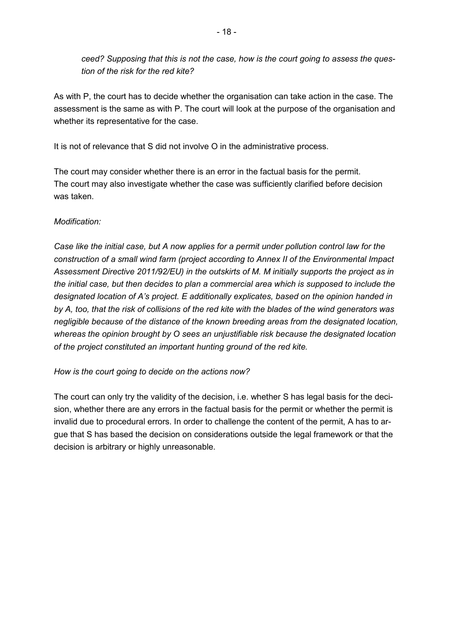*ceed? Supposing that this is not the case, how is the court going to assess the question of the risk for the red kite?* 

As with P, the court has to decide whether the organisation can take action in the case. The assessment is the same as with P. The court will look at the purpose of the organisation and whether its representative for the case.

It is not of relevance that S did not involve O in the administrative process.

The court may consider whether there is an error in the factual basis for the permit. The court may also investigate whether the case was sufficiently clarified before decision was taken.

#### *Modification:*

*Case like the initial case, but A now applies for a permit under pollution control law for the construction of a small wind farm (project according to Annex II of the Environmental Impact Assessment Directive 2011/92/EU) in the outskirts of M. M initially supports the project as in the initial case, but then decides to plan a commercial area which is supposed to include the designated location of A's project. E additionally explicates, based on the opinion handed in by A, too, that the risk of collisions of the red kite with the blades of the wind generators was negligible because of the distance of the known breeding areas from the designated location, whereas the opinion brought by O sees an unjustifiable risk because the designated location of the project constituted an important hunting ground of the red kite.* 

*How is the court going to decide on the actions now?* 

The court can only try the validity of the decision, i.e. whether S has legal basis for the decision, whether there are any errors in the factual basis for the permit or whether the permit is invalid due to procedural errors. In order to challenge the content of the permit, A has to argue that S has based the decision on considerations outside the legal framework or that the decision is arbitrary or highly unreasonable.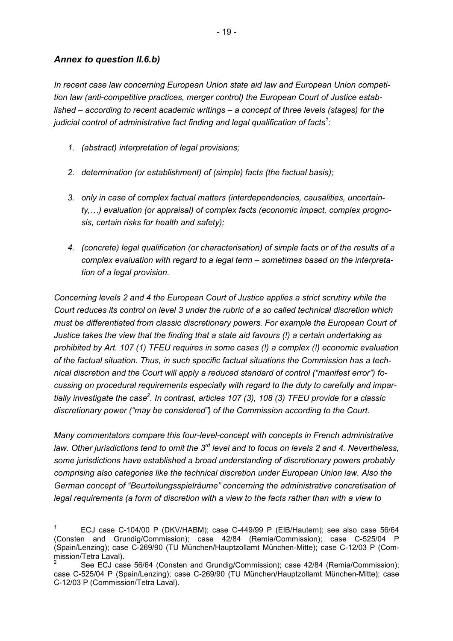#### *Annex to question II.6.b)*

*In recent case law concerning European Union state aid law and European Union competition law (anti-competitive practices, merger control) the European Court of Justice established – according to recent academic writings – a concept of three levels (stages) for the judicial control of administrative fact finding and legal qualification of facts<sup>1</sup> :* 

- *1. (abstract) interpretation of legal provisions;*
- *2. determination (or establishment) of (simple) facts (the factual basis);*
- *3. only in case of complex factual matters (interdependencies, causalities, uncertainty,...)* evaluation (or appraisal) of complex facts (economic impact, complex progno*sis, certain risks for health and safety);*
- *4. (concrete) legal qualification (or characterisation) of simple facts or of the results of a complex evaluation with regard to a legal term – sometimes based on the interpretation of a legal provision.*

*Concerning levels 2 and 4 the European Court of Justice applies a strict scrutiny while the Court reduces its control on level 3 under the rubric of a so called technical discretion which must be differentiated from classic discretionary powers. For example the European Court of Justice takes the view that the finding that a state aid favours (!) a certain undertaking as prohibited by Art. 107 (1) TFEU requires in some cases (!) a complex (!) economic evaluation of the factual situation. Thus, in such specific factual situations the Commission has a technical discretion and the Court will apply a reduced standard of control ("manifest error") focussing on procedural requirements especially with regard to the duty to carefully and impartially investigate the case<sup>2</sup> . In contrast, articles 107 (3), 108 (3) TFEU provide for a classic discretionary power ("may be considered") of the Commission according to the Court.* 

*Many commentators compare this four-level-concept with concepts in French administrative law. Other jurisdictions tend to omit the 3rd level and to focus on levels 2 and 4. Nevertheless, some jurisdictions have established a broad understanding of discretionary powers probably comprising also categories like the technical discretion under European Union law. Also the German concept of "Beurteilungsspielräume" concerning the administrative concretisation of legal requirements (a form of discretion with a view to the facts rather than with a view to* 

<sup>1</sup> ECJ case C-104/00 P (DKV/HABM); case C-449/99 P (EIB/Hautem); see also case 56/64 (Consten and Grundig/Commission); case 42/84 (Remia/Commission); case C-525/04 P (Spain/Lenzing); case C-269/90 (TU München/Hauptzollamt München-Mitte); case C-12/03 P (Commission/Tetra Laval).

<sup>2</sup> See ECJ case 56/64 (Consten and Grundig/Commission); case 42/84 (Remia/Commission); case C-525/04 P (Spain/Lenzing); case C-269/90 (TU München/Hauptzollamt München-Mitte); case C-12/03 P (Commission/Tetra Laval).